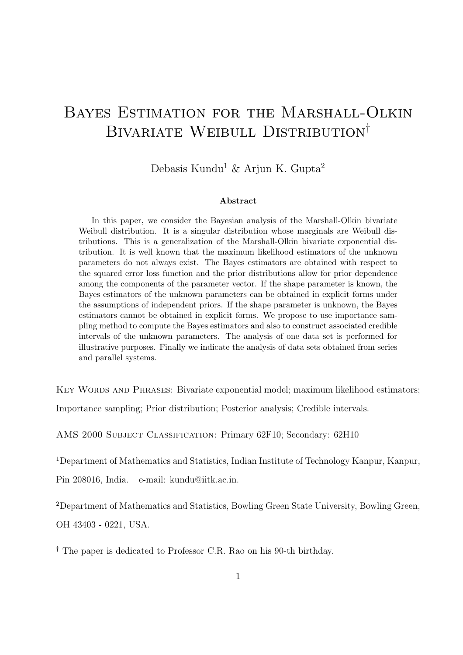# Bayes Estimation for the Marshall-Olkin BIVARIATE WEIBULL DISTRIBUTION<sup>†</sup>

Debasis Kundu<sup>1</sup> & Arjun K. Gupta<sup>2</sup>

#### Abstract

In this paper, we consider the Bayesian analysis of the Marshall-Olkin bivariate Weibull distribution. It is a singular distribution whose marginals are Weibull distributions. This is a generalization of the Marshall-Olkin bivariate exponential distribution. It is well known that the maximum likelihood estimators of the unknown parameters do not always exist. The Bayes estimators are obtained with respect to the squared error loss function and the prior distributions allow for prior dependence among the components of the parameter vector. If the shape parameter is known, the Bayes estimators of the unknown parameters can be obtained in explicit forms under the assumptions of independent priors. If the shape parameter is unknown, the Bayes estimators cannot be obtained in explicit forms. We propose to use importance sampling method to compute the Bayes estimators and also to construct associated credible intervals of the unknown parameters. The analysis of one data set is performed for illustrative purposes. Finally we indicate the analysis of data sets obtained from series and parallel systems.

KEY WORDS AND PHRASES: Bivariate exponential model; maximum likelihood estimators; Importance sampling; Prior distribution; Posterior analysis; Credible intervals.

AMS 2000 Subject Classification: Primary 62F10; Secondary: 62H10

<sup>1</sup>Department of Mathematics and Statistics, Indian Institute of Technology Kanpur, Kanpur, Pin 208016, India. e-mail: kundu@iitk.ac.in.

<sup>2</sup>Department of Mathematics and Statistics, Bowling Green State University, Bowling Green, OH 43403 - 0221, USA.

† The paper is dedicated to Professor C.R. Rao on his 90-th birthday.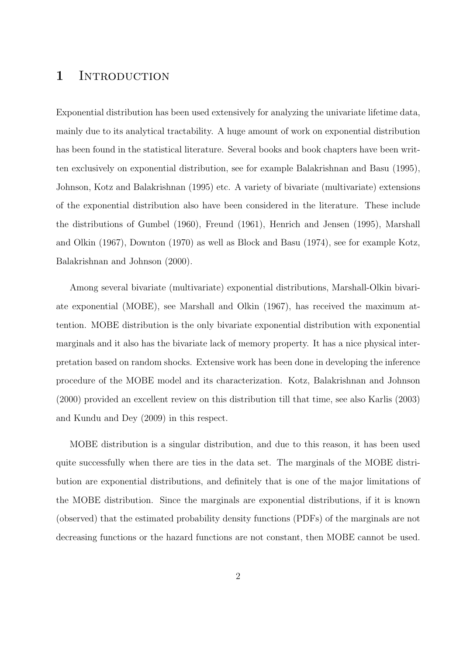### 1 INTRODUCTION

Exponential distribution has been used extensively for analyzing the univariate lifetime data, mainly due to its analytical tractability. A huge amount of work on exponential distribution has been found in the statistical literature. Several books and book chapters have been written exclusively on exponential distribution, see for example Balakrishnan and Basu (1995), Johnson, Kotz and Balakrishnan (1995) etc. A variety of bivariate (multivariate) extensions of the exponential distribution also have been considered in the literature. These include the distributions of Gumbel (1960), Freund (1961), Henrich and Jensen (1995), Marshall and Olkin (1967), Downton (1970) as well as Block and Basu (1974), see for example Kotz, Balakrishnan and Johnson (2000).

Among several bivariate (multivariate) exponential distributions, Marshall-Olkin bivariate exponential (MOBE), see Marshall and Olkin (1967), has received the maximum attention. MOBE distribution is the only bivariate exponential distribution with exponential marginals and it also has the bivariate lack of memory property. It has a nice physical interpretation based on random shocks. Extensive work has been done in developing the inference procedure of the MOBE model and its characterization. Kotz, Balakrishnan and Johnson (2000) provided an excellent review on this distribution till that time, see also Karlis (2003) and Kundu and Dey (2009) in this respect.

MOBE distribution is a singular distribution, and due to this reason, it has been used quite successfully when there are ties in the data set. The marginals of the MOBE distribution are exponential distributions, and definitely that is one of the major limitations of the MOBE distribution. Since the marginals are exponential distributions, if it is known (observed) that the estimated probability density functions (PDFs) of the marginals are not decreasing functions or the hazard functions are not constant, then MOBE cannot be used.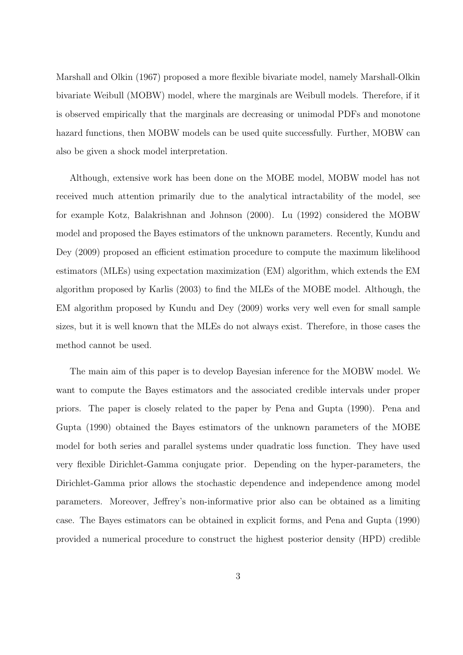Marshall and Olkin (1967) proposed a more flexible bivariate model, namely Marshall-Olkin bivariate Weibull (MOBW) model, where the marginals are Weibull models. Therefore, if it is observed empirically that the marginals are decreasing or unimodal PDFs and monotone hazard functions, then MOBW models can be used quite successfully. Further, MOBW can also be given a shock model interpretation.

Although, extensive work has been done on the MOBE model, MOBW model has not received much attention primarily due to the analytical intractability of the model, see for example Kotz, Balakrishnan and Johnson (2000). Lu (1992) considered the MOBW model and proposed the Bayes estimators of the unknown parameters. Recently, Kundu and Dey (2009) proposed an efficient estimation procedure to compute the maximum likelihood estimators (MLEs) using expectation maximization (EM) algorithm, which extends the EM algorithm proposed by Karlis (2003) to find the MLEs of the MOBE model. Although, the EM algorithm proposed by Kundu and Dey (2009) works very well even for small sample sizes, but it is well known that the MLEs do not always exist. Therefore, in those cases the method cannot be used.

The main aim of this paper is to develop Bayesian inference for the MOBW model. We want to compute the Bayes estimators and the associated credible intervals under proper priors. The paper is closely related to the paper by Pena and Gupta (1990). Pena and Gupta (1990) obtained the Bayes estimators of the unknown parameters of the MOBE model for both series and parallel systems under quadratic loss function. They have used very flexible Dirichlet-Gamma conjugate prior. Depending on the hyper-parameters, the Dirichlet-Gamma prior allows the stochastic dependence and independence among model parameters. Moreover, Jeffrey's non-informative prior also can be obtained as a limiting case. The Bayes estimators can be obtained in explicit forms, and Pena and Gupta (1990) provided a numerical procedure to construct the highest posterior density (HPD) credible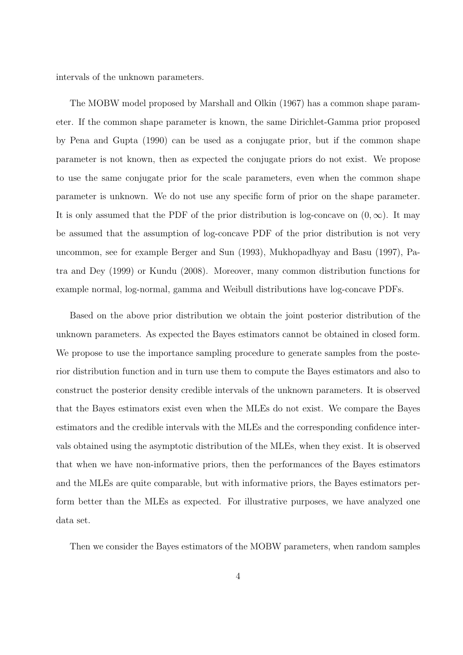intervals of the unknown parameters.

The MOBW model proposed by Marshall and Olkin (1967) has a common shape parameter. If the common shape parameter is known, the same Dirichlet-Gamma prior proposed by Pena and Gupta (1990) can be used as a conjugate prior, but if the common shape parameter is not known, then as expected the conjugate priors do not exist. We propose to use the same conjugate prior for the scale parameters, even when the common shape parameter is unknown. We do not use any specific form of prior on the shape parameter. It is only assumed that the PDF of the prior distribution is log-concave on  $(0, \infty)$ . It may be assumed that the assumption of log-concave PDF of the prior distribution is not very uncommon, see for example Berger and Sun (1993), Mukhopadhyay and Basu (1997), Patra and Dey (1999) or Kundu (2008). Moreover, many common distribution functions for example normal, log-normal, gamma and Weibull distributions have log-concave PDFs.

Based on the above prior distribution we obtain the joint posterior distribution of the unknown parameters. As expected the Bayes estimators cannot be obtained in closed form. We propose to use the importance sampling procedure to generate samples from the posterior distribution function and in turn use them to compute the Bayes estimators and also to construct the posterior density credible intervals of the unknown parameters. It is observed that the Bayes estimators exist even when the MLEs do not exist. We compare the Bayes estimators and the credible intervals with the MLEs and the corresponding confidence intervals obtained using the asymptotic distribution of the MLEs, when they exist. It is observed that when we have non-informative priors, then the performances of the Bayes estimators and the MLEs are quite comparable, but with informative priors, the Bayes estimators perform better than the MLEs as expected. For illustrative purposes, we have analyzed one data set.

Then we consider the Bayes estimators of the MOBW parameters, when random samples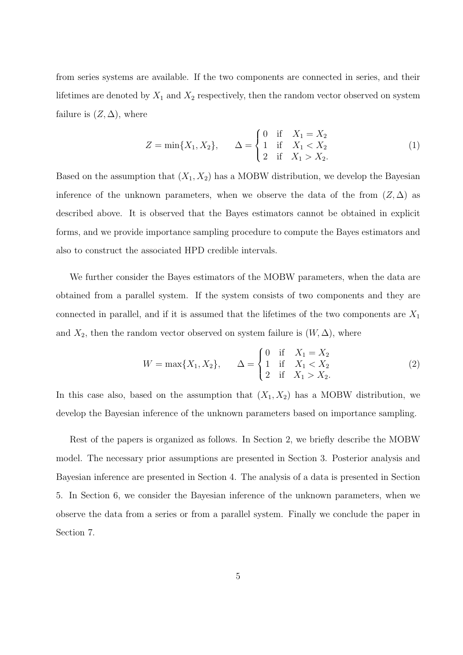from series systems are available. If the two components are connected in series, and their lifetimes are denoted by  $X_1$  and  $X_2$  respectively, then the random vector observed on system failure is  $(Z, \Delta)$ , where

$$
Z = \min\{X_1, X_2\}, \qquad \Delta = \begin{cases} 0 & \text{if } X_1 = X_2 \\ 1 & \text{if } X_1 < X_2 \\ 2 & \text{if } X_1 > X_2. \end{cases} \tag{1}
$$

Based on the assumption that  $(X_1, X_2)$  has a MOBW distribution, we develop the Bayesian inference of the unknown parameters, when we observe the data of the from  $(Z, \Delta)$  as described above. It is observed that the Bayes estimators cannot be obtained in explicit forms, and we provide importance sampling procedure to compute the Bayes estimators and also to construct the associated HPD credible intervals.

We further consider the Bayes estimators of the MOBW parameters, when the data are obtained from a parallel system. If the system consists of two components and they are connected in parallel, and if it is assumed that the lifetimes of the two components are  $X_1$ and  $X_2$ , then the random vector observed on system failure is  $(W, \Delta)$ , where

$$
W = \max\{X_1, X_2\}, \qquad \Delta = \begin{cases} 0 & \text{if } X_1 = X_2 \\ 1 & \text{if } X_1 < X_2 \\ 2 & \text{if } X_1 > X_2. \end{cases} \tag{2}
$$

In this case also, based on the assumption that  $(X_1, X_2)$  has a MOBW distribution, we develop the Bayesian inference of the unknown parameters based on importance sampling.

Rest of the papers is organized as follows. In Section 2, we briefly describe the MOBW model. The necessary prior assumptions are presented in Section 3. Posterior analysis and Bayesian inference are presented in Section 4. The analysis of a data is presented in Section 5. In Section 6, we consider the Bayesian inference of the unknown parameters, when we observe the data from a series or from a parallel system. Finally we conclude the paper in Section 7.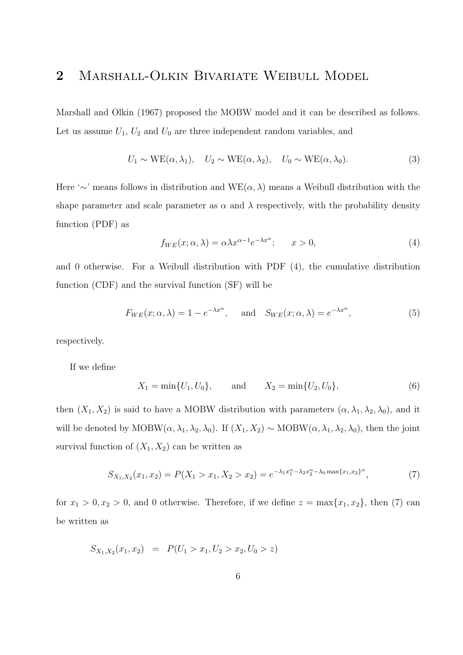# 2 Marshall-Olkin Bivariate Weibull Model

Marshall and Olkin (1967) proposed the MOBW model and it can be described as follows. Let us assume  $U_1$ ,  $U_2$  and  $U_0$  are three independent random variables, and

$$
U_1 \sim \text{WE}(\alpha, \lambda_1), \quad U_2 \sim \text{WE}(\alpha, \lambda_2), \quad U_0 \sim \text{WE}(\alpha, \lambda_0). \tag{3}
$$

Here '∼' means follows in distribution and  $WE(\alpha, \lambda)$  means a Weibull distribution with the shape parameter and scale parameter as  $\alpha$  and  $\lambda$  respectively, with the probability density function (PDF) as

$$
f_{WE}(x; \alpha, \lambda) = \alpha \lambda x^{\alpha - 1} e^{-\lambda x^{\alpha}}; \qquad x > 0,
$$
\n<sup>(4)</sup>

and 0 otherwise. For a Weibull distribution with PDF (4), the cumulative distribution function (CDF) and the survival function (SF) will be

$$
F_{WE}(x; \alpha, \lambda) = 1 - e^{-\lambda x^{\alpha}}, \quad \text{and} \quad S_{WE}(x; \alpha, \lambda) = e^{-\lambda x^{\alpha}},
$$
 (5)

respectively.

If we define

$$
X_1 = \min\{U_1, U_0\},
$$
 and  $X_2 = \min\{U_2, U_0\},$  (6)

then  $(X_1, X_2)$  is said to have a MOBW distribution with parameters  $(\alpha, \lambda_1, \lambda_2, \lambda_0)$ , and it will be denoted by MOBW( $\alpha$ ,  $\lambda_1$ ,  $\lambda_2$ ,  $\lambda_0$ ). If  $(X_1, X_2) \sim \text{MOBW}(\alpha, \lambda_1, \lambda_2, \lambda_0)$ , then the joint survival function of  $(X_1, X_2)$  can be written as

$$
S_{X_1,X_2}(x_1,x_2) = P(X_1 > x_1, X_2 > x_2) = e^{-\lambda_1 x_1^{\alpha} - \lambda_2 x_2^{\alpha} - \lambda_0 \max\{x_1, x_2\}^{\alpha}},\tag{7}
$$

for  $x_1 > 0, x_2 > 0$ , and 0 otherwise. Therefore, if we define  $z = \max\{x_1, x_2\}$ , then (7) can be written as

$$
S_{X_1,X_2}(x_1,x_2) = P(U_1 > x_1, U_2 > x_2, U_0 > z)
$$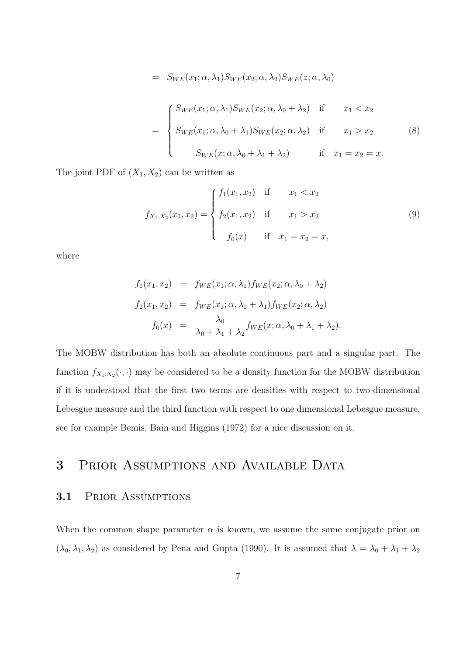$$
= S_{WE}(x_1; \alpha, \lambda_1) S_{WE}(x_2; \alpha, \lambda_2) S_{WE}(z; \alpha, \lambda_0)
$$
  

$$
= \begin{cases} S_{WE}(x_1; \alpha, \lambda_1) S_{WE}(x_2; \alpha, \lambda_0 + \lambda_2) & \text{if } x_1 < x_2 \\ S_{WE}(x_1; \alpha, \lambda_0 + \lambda_1) S_{WE}(x_2; \alpha, \lambda_2) & \text{if } x_1 > x_2 \\ S_{WE}(x; \alpha, \lambda_0 + \lambda_1 + \lambda_2) & \text{if } x_1 = x_2 = x. \end{cases}
$$
(8)

The joint PDF of  $(X_1, X_2)$  can be written as

$$
f_{X_1,X_2}(x_1,x_2) = \begin{cases} f_1(x_1,x_2) & \text{if } x_1 < x_2 \\ f_2(x_1,x_2) & \text{if } x_1 > x_2 \\ f_0(x) & \text{if } x_1 = x_2 = x, \end{cases}
$$
(9)

where

$$
f_1(x_1, x_2) = f_{WE}(x_1; \alpha, \lambda_1) f_{WE}(x_2; \alpha, \lambda_0 + \lambda_2)
$$
  
\n
$$
f_2(x_1, x_2) = f_{WE}(x_1; \alpha, \lambda_0 + \lambda_1) f_{WE}(x_2; \alpha, \lambda_2)
$$
  
\n
$$
f_0(x) = \frac{\lambda_0}{\lambda_0 + \lambda_1 + \lambda_2} f_{WE}(x; \alpha, \lambda_0 + \lambda_1 + \lambda_2).
$$

The MOBW distribution has both an absolute continuous part and a singular part. The function  $f_{X_1,X_2}(\cdot,\cdot)$  may be considered to be a density function for the MOBW distribution if it is understood that the first two terms are densities with respect to two-dimensional Lebesgue measure and the third function with respect to one dimensional Lebesgue measure, see for example Bemis, Bain and Higgins (1972) for a nice discussion on it.

# 3 PRIOR ASSUMPTIONS AND AVAILABLE DATA

#### 3.1 Prior Assumptions

When the common shape parameter  $\alpha$  is known, we assume the same conjugate prior on  $(\lambda_0, \lambda_1, \lambda_2)$  as considered by Pena and Gupta (1990). It is assumed that  $\lambda = \lambda_0 + \lambda_1 + \lambda_2$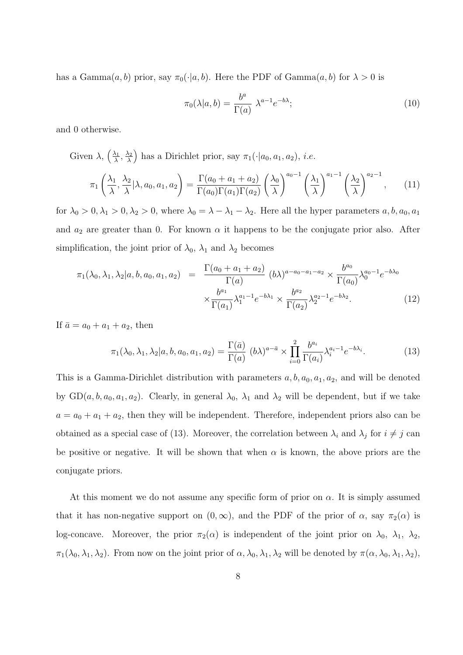has a Gamma $(a, b)$  prior, say  $\pi_0(\cdot|a, b)$ . Here the PDF of Gamma $(a, b)$  for  $\lambda > 0$  is

$$
\pi_0(\lambda|a,b) = \frac{b^a}{\Gamma(a)} \ \lambda^{a-1} e^{-b\lambda};\tag{10}
$$

and 0 otherwise.

Given  $\lambda$ ,  $\left(\frac{\lambda_1}{\lambda}\right)$  $\frac{\lambda_1}{\lambda}, \frac{\lambda_2}{\lambda}$ λ ) has a Dirichlet prior, say  $\pi_1(\cdot|a_0, a_1, a_2)$ , *i.e.* 

$$
\pi_1\left(\frac{\lambda_1}{\lambda}, \frac{\lambda_2}{\lambda} | \lambda, a_0, a_1, a_2\right) = \frac{\Gamma(a_0 + a_1 + a_2)}{\Gamma(a_0)\Gamma(a_1)\Gamma(a_2)} \left(\frac{\lambda_0}{\lambda}\right)^{a_0 - 1} \left(\frac{\lambda_1}{\lambda}\right)^{a_1 - 1} \left(\frac{\lambda_2}{\lambda}\right)^{a_2 - 1},\tag{11}
$$

for  $\lambda_0 > 0, \lambda_1 > 0, \lambda_2 > 0$ , where  $\lambda_0 = \lambda - \lambda_1 - \lambda_2$ . Here all the hyper parameters  $a, b, a_0, a_1$ and  $a_2$  are greater than 0. For known  $\alpha$  it happens to be the conjugate prior also. After simplification, the joint prior of  $\lambda_0$ ,  $\lambda_1$  and  $\lambda_2$  becomes

$$
\pi_1(\lambda_0, \lambda_1, \lambda_2 | a, b, a_0, a_1, a_2) = \frac{\Gamma(a_0 + a_1 + a_2)}{\Gamma(a)} (b\lambda)^{a - a_0 - a_1 - a_2} \times \frac{b^{a_0}}{\Gamma(a_0)} \lambda_0^{a_0 - 1} e^{-b\lambda_0}
$$

$$
\times \frac{b^{a_1}}{\Gamma(a_1)} \lambda_1^{a_1 - 1} e^{-b\lambda_1} \times \frac{b^{a_2}}{\Gamma(a_2)} \lambda_2^{a_2 - 1} e^{-b\lambda_2}.
$$
(12)

If  $\bar{a} = a_0 + a_1 + a_2$ , then

$$
\pi_1(\lambda_0, \lambda_1, \lambda_2 | a, b, a_0, a_1, a_2) = \frac{\Gamma(\bar{a})}{\Gamma(a)} (b\lambda)^{a - \bar{a}} \times \prod_{i=0}^2 \frac{b^{a_i}}{\Gamma(a_i)} \lambda_i^{a_i - 1} e^{-b\lambda_i}.
$$
 (13)

This is a Gamma-Dirichlet distribution with parameters  $a, b, a_0, a_1, a_2$ , and will be denoted by  $GD(a, b, a_0, a_1, a_2)$ . Clearly, in general  $\lambda_0$ ,  $\lambda_1$  and  $\lambda_2$  will be dependent, but if we take  $a = a_0 + a_1 + a_2$ , then they will be independent. Therefore, independent priors also can be obtained as a special case of (13). Moreover, the correlation between  $\lambda_i$  and  $\lambda_j$  for  $i \neq j$  can be positive or negative. It will be shown that when  $\alpha$  is known, the above priors are the conjugate priors.

At this moment we do not assume any specific form of prior on  $\alpha$ . It is simply assumed that it has non-negative support on  $(0, \infty)$ , and the PDF of the prior of  $\alpha$ , say  $\pi_2(\alpha)$  is log-concave. Moreover, the prior  $\pi_2(\alpha)$  is independent of the joint prior on  $\lambda_0$ ,  $\lambda_1$ ,  $\lambda_2$ ,  $\pi_1(\lambda_0, \lambda_1, \lambda_2)$ . From now on the joint prior of  $\alpha, \lambda_0, \lambda_1, \lambda_2$  will be denoted by  $\pi(\alpha, \lambda_0, \lambda_1, \lambda_2)$ ,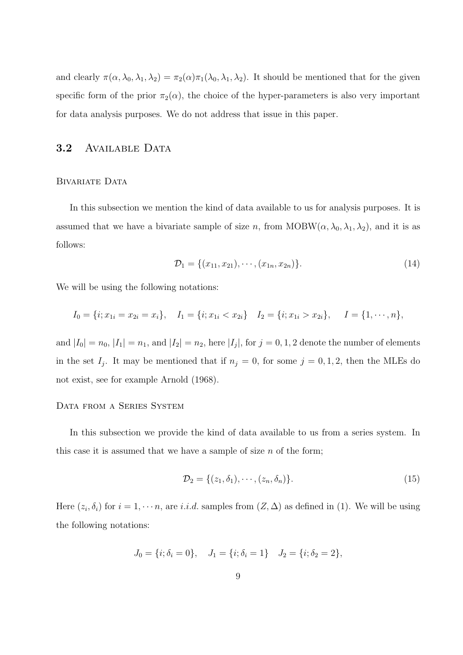and clearly  $\pi(\alpha, \lambda_0, \lambda_1, \lambda_2) = \pi_2(\alpha) \pi_1(\lambda_0, \lambda_1, \lambda_2)$ . It should be mentioned that for the given specific form of the prior  $\pi_2(\alpha)$ , the choice of the hyper-parameters is also very important for data analysis purposes. We do not address that issue in this paper.

### 3.2 AVAILABLE DATA

#### BIVARIATE DATA

In this subsection we mention the kind of data available to us for analysis purposes. It is assumed that we have a bivariate sample of size n, from  $MOBW(\alpha, \lambda_0, \lambda_1, \lambda_2)$ , and it is as follows:

$$
\mathcal{D}_1 = \{ (x_{11}, x_{21}), \cdots, (x_{1n}, x_{2n}) \}. \tag{14}
$$

We will be using the following notations:

$$
I_0 = \{i; x_{1i} = x_{2i} = x_i\}, \quad I_1 = \{i; x_{1i} < x_{2i}\}, \quad I_2 = \{i; x_{1i} > x_{2i}\}, \quad I = \{1, \cdots, n\},
$$

and  $|I_0| = n_0$ ,  $|I_1| = n_1$ , and  $|I_2| = n_2$ , here  $|I_j|$ , for  $j = 0, 1, 2$  denote the number of elements in the set  $I_j$ . It may be mentioned that if  $n_j = 0$ , for some  $j = 0, 1, 2$ , then the MLEs do not exist, see for example Arnold (1968).

#### Data from a Series System

In this subsection we provide the kind of data available to us from a series system. In this case it is assumed that we have a sample of size  $n$  of the form;

$$
\mathcal{D}_2 = \{ (z_1, \delta_1), \cdots, (z_n, \delta_n) \}.
$$
\n(15)

Here  $(z_i, \delta_i)$  for  $i = 1, \dots, n$ , are i.i.d. samples from  $(Z, \Delta)$  as defined in (1). We will be using the following notations:

$$
J_0 = \{i; \delta_i = 0\}, \quad J_1 = \{i; \delta_i = 1\} \quad J_2 = \{i; \delta_2 = 2\},
$$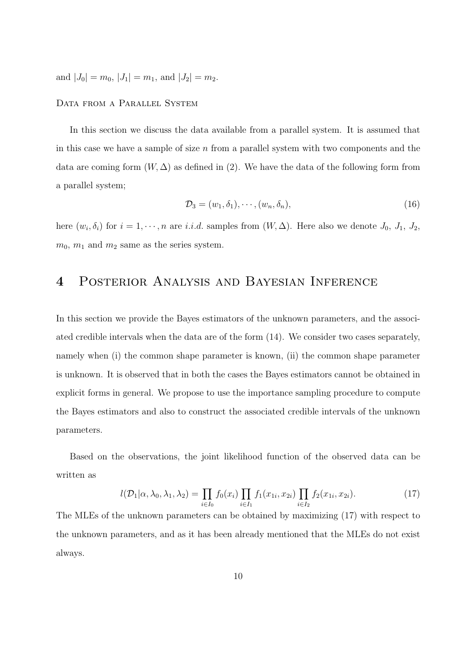and  $|J_0| = m_0$ ,  $|J_1| = m_1$ , and  $|J_2| = m_2$ .

#### Data from a Parallel System

In this section we discuss the data available from a parallel system. It is assumed that in this case we have a sample of size  $n$  from a parallel system with two components and the data are coming form  $(W, \Delta)$  as defined in (2). We have the data of the following form from a parallel system;

$$
\mathcal{D}_3 = (w_1, \delta_1), \cdots, (w_n, \delta_n), \tag{16}
$$

here  $(w_i, \delta_i)$  for  $i = 1, \dots, n$  are i.i.d. samples from  $(W, \Delta)$ . Here also we denote  $J_0, J_1, J_2$ ,  $m_0$ ,  $m_1$  and  $m_2$  same as the series system.

# 4 Posterior Analysis and Bayesian Inference

In this section we provide the Bayes estimators of the unknown parameters, and the associated credible intervals when the data are of the form (14). We consider two cases separately, namely when (i) the common shape parameter is known, (ii) the common shape parameter is unknown. It is observed that in both the cases the Bayes estimators cannot be obtained in explicit forms in general. We propose to use the importance sampling procedure to compute the Bayes estimators and also to construct the associated credible intervals of the unknown parameters.

Based on the observations, the joint likelihood function of the observed data can be written as

$$
l(\mathcal{D}_1|\alpha,\lambda_0,\lambda_1,\lambda_2) = \prod_{i \in I_0} f_0(x_i) \prod_{i \in I_1} f_1(x_{1i},x_{2i}) \prod_{i \in I_2} f_2(x_{1i},x_{2i}).
$$
\n(17)

The MLEs of the unknown parameters can be obtained by maximizing (17) with respect to the unknown parameters, and as it has been already mentioned that the MLEs do not exist always.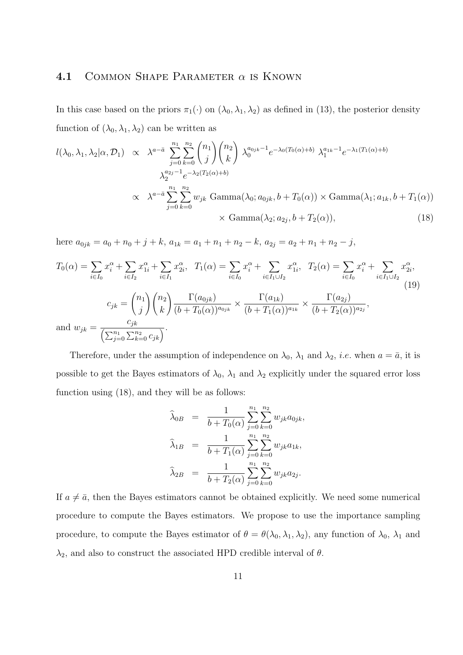#### 4.1 COMMON SHAPE PARAMETER  $\alpha$  is KNOWN

In this case based on the priors  $\pi_1(\cdot)$  on  $(\lambda_0, \lambda_1, \lambda_2)$  as defined in (13), the posterior density function of  $(\lambda_0, \lambda_1, \lambda_2)$  can be written as

$$
l(\lambda_0, \lambda_1, \lambda_2 | \alpha, \mathcal{D}_1) \propto \lambda^{a-\bar{a}} \sum_{j=0}^{n_1} \sum_{k=0}^{n_2} {n_1 \choose j} {n_2 \choose k} \lambda_0^{a_{0jk}-1} e^{-\lambda_0 (T_0(\alpha)+b)} \lambda_1^{a_{1k}-1} e^{-\lambda_1 (T_1(\alpha)+b)}
$$
  

$$
\chi_2^{a_{2j}-1} e^{-\lambda_2 (T_2(\alpha)+b)}
$$
  

$$
\propto \lambda^{a-\bar{a}} \sum_{j=0}^{n_1} \sum_{k=0}^{n_2} w_{jk} \text{Gamma}(\lambda_0; a_{0jk}, b + T_0(\alpha)) \times \text{Gamma}(\lambda_1; a_{1k}, b + T_1(\alpha))
$$
  

$$
\times \text{Gamma}(\lambda_2; a_{2j}, b + T_2(\alpha)), \tag{18}
$$

here  $a_{0jk} = a_0 + n_0 + j + k$ ,  $a_{1k} = a_1 + n_1 + n_2 - k$ ,  $a_{2j} = a_2 + n_1 + n_2 - j$ ,

$$
T_0(\alpha) = \sum_{i \in I_0} x_i^{\alpha} + \sum_{i \in I_2} x_{1i}^{\alpha} + \sum_{i \in I_1} x_{2i}^{\alpha}, \quad T_1(\alpha) = \sum_{i \in I_0} x_i^{\alpha} + \sum_{i \in I_1 \cup I_2} x_{1i}^{\alpha}, \quad T_2(\alpha) = \sum_{i \in I_0} x_i^{\alpha} + \sum_{i \in I_1 \cup I_2} x_{2i}^{\alpha},
$$
  
\n
$$
c_{jk} = {n_1 \choose j} {n_2 \choose k} \frac{\Gamma(a_{0jk})}{(b + T_0(\alpha))^{a_{0jk}}} \times \frac{\Gamma(a_{1k})}{(b + T_1(\alpha))^{a_{1k}}} \times \frac{\Gamma(a_{2j})}{(b + T_2(\alpha))^{a_{2j}}},
$$
  
\nand 
$$
w_{jk} = \frac{c_{jk}}{\left(\sum_{j=0}^{n_1} \sum_{k=0}^{n_2} c_{jk}\right)}.
$$
 (19)

Therefore, under the assumption of independence on  $\lambda_0$ ,  $\lambda_1$  and  $\lambda_2$ , *i.e.* when  $a = \bar{a}$ , it is possible to get the Bayes estimators of  $\lambda_0$ ,  $\lambda_1$  and  $\lambda_2$  explicitly under the squared error loss function using (18), and they will be as follows:

$$
\widehat{\lambda}_{0B} = \frac{1}{b + T_0(\alpha)} \sum_{j=0}^{n_1} \sum_{k=0}^{n_2} w_{jk} a_{0jk},
$$
  

$$
\widehat{\lambda}_{1B} = \frac{1}{b + T_1(\alpha)} \sum_{j=0}^{n_1} \sum_{k=0}^{n_2} w_{jk} a_{1k},
$$
  

$$
\widehat{\lambda}_{2B} = \frac{1}{b + T_2(\alpha)} \sum_{j=0}^{n_1} \sum_{k=0}^{n_2} w_{jk} a_{2j}.
$$

If  $a \neq \overline{a}$ , then the Bayes estimators cannot be obtained explicitly. We need some numerical procedure to compute the Bayes estimators. We propose to use the importance sampling procedure, to compute the Bayes estimator of  $\theta = \theta(\lambda_0, \lambda_1, \lambda_2)$ , any function of  $\lambda_0$ ,  $\lambda_1$  and  $\lambda_2$ , and also to construct the associated HPD credible interval of  $\theta$ .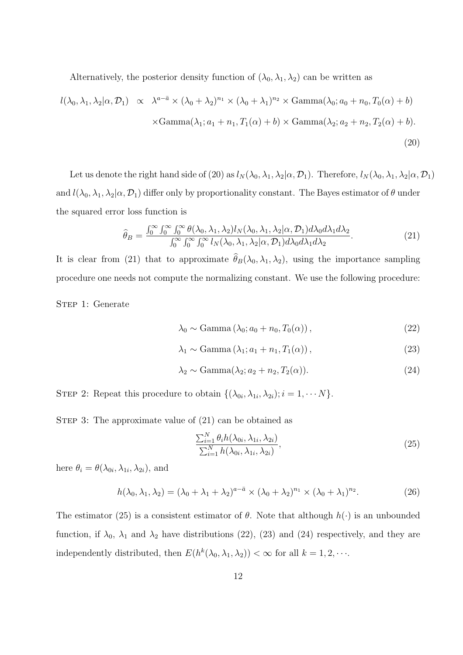Alternatively, the posterior density function of  $(\lambda_0, \lambda_1, \lambda_2)$  can be written as

$$
l(\lambda_0, \lambda_1, \lambda_2 | \alpha, \mathcal{D}_1) \propto \lambda^{a - \bar{a}} \times (\lambda_0 + \lambda_2)^{n_1} \times (\lambda_0 + \lambda_1)^{n_2} \times \text{Gamma}(\lambda_0; a_0 + n_0, T_0(\alpha) + b)
$$
  
 
$$
\times \text{Gamma}(\lambda_1; a_1 + n_1, T_1(\alpha) + b) \times \text{Gamma}(\lambda_2; a_2 + n_2, T_2(\alpha) + b).
$$
  
(20)

Let us denote the right hand side of (20) as  $l_N(\lambda_0, \lambda_1, \lambda_2 | \alpha, \mathcal{D}_1)$ . Therefore,  $l_N(\lambda_0, \lambda_1, \lambda_2 | \alpha, \mathcal{D}_1)$ and  $l(\lambda_0, \lambda_1, \lambda_2 | \alpha, \mathcal{D}_1)$  differ only by proportionality constant. The Bayes estimator of  $\theta$  under the squared error loss function is

$$
\widehat{\theta}_B = \frac{\int_0^\infty \int_0^\infty \int_0^\infty \theta(\lambda_0, \lambda_1, \lambda_2) l_N(\lambda_0, \lambda_1, \lambda_2 | \alpha, \mathcal{D}_1) d\lambda_0 d\lambda_1 d\lambda_2}{\int_0^\infty \int_0^\infty \int_0^\infty l_N(\lambda_0, \lambda_1, \lambda_2 | \alpha, \mathcal{D}_1) d\lambda_0 d\lambda_1 d\lambda_2}.
$$
\n(21)

It is clear from (21) that to approximate  $\hat{\theta}_B(\lambda_0, \lambda_1, \lambda_2)$ , using the importance sampling procedure one needs not compute the normalizing constant. We use the following procedure:

STEP 1: Generate

$$
\lambda_0 \sim \text{Gamma}(\lambda_0; a_0 + n_0, T_0(\alpha)), \tag{22}
$$

$$
\lambda_1 \sim \text{Gamma}(\lambda_1; a_1 + n_1, T_1(\alpha)), \tag{23}
$$

$$
\lambda_2 \sim \text{Gamma}(\lambda_2; a_2 + n_2, T_2(\alpha)). \tag{24}
$$

STEP 2: Repeat this procedure to obtain  $\{(\lambda_{0i}, \lambda_{1i}, \lambda_{2i}); i = 1, \cdots N\}.$ 

STEP 3: The approximate value of  $(21)$  can be obtained as

$$
\frac{\sum_{i=1}^{N} \theta_i h(\lambda_{0i}, \lambda_{1i}, \lambda_{2i})}{\sum_{i=1}^{N} h(\lambda_{0i}, \lambda_{1i}, \lambda_{2i})},
$$
\n(25)

here  $\theta_i = \theta(\lambda_{0i}, \lambda_{1i}, \lambda_{2i})$ , and

$$
h(\lambda_0, \lambda_1, \lambda_2) = (\lambda_0 + \lambda_1 + \lambda_2)^{a - \bar{a}} \times (\lambda_0 + \lambda_2)^{n_1} \times (\lambda_0 + \lambda_1)^{n_2}.
$$
 (26)

The estimator (25) is a consistent estimator of  $\theta$ . Note that although  $h(\cdot)$  is an unbounded function, if  $\lambda_0$ ,  $\lambda_1$  and  $\lambda_2$  have distributions (22), (23) and (24) respectively, and they are independently distributed, then  $E(h^k(\lambda_0, \lambda_1, \lambda_2)) < \infty$  for all  $k = 1, 2, \cdots$ .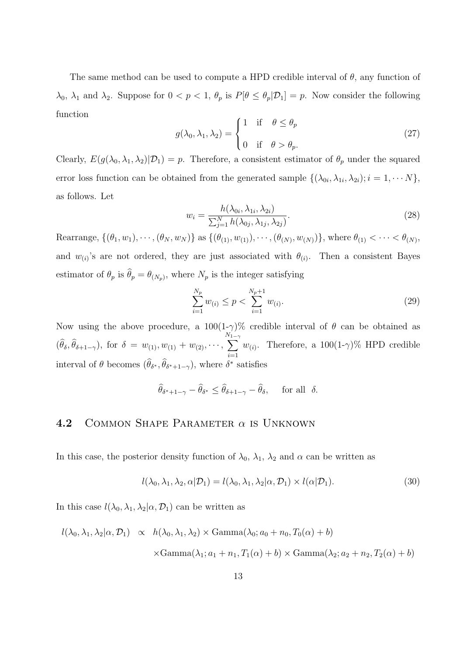The same method can be used to compute a HPD credible interval of  $\theta$ , any function of  $\lambda_0$ ,  $\lambda_1$  and  $\lambda_2$ . Suppose for  $0 < p < 1$ ,  $\theta_p$  is  $P[\theta \leq \theta_p | \mathcal{D}_1] = p$ . Now consider the following function

$$
g(\lambda_0, \lambda_1, \lambda_2) = \begin{cases} 1 & \text{if } \theta \le \theta_p \\ 0 & \text{if } \theta > \theta_p. \end{cases}
$$
 (27)

Clearly,  $E(g(\lambda_0, \lambda_1, \lambda_2)|\mathcal{D}_1) = p$ . Therefore, a consistent estimator of  $\theta_p$  under the squared error loss function can be obtained from the generated sample  $\{(\lambda_{0i}, \lambda_{1i}, \lambda_{2i}); i = 1, \cdots N\},\$ as follows. Let

$$
w_i = \frac{h(\lambda_{0i}, \lambda_{1i}, \lambda_{2i})}{\sum_{j=1}^N h(\lambda_{0j}, \lambda_{1j}, \lambda_{2j})}.
$$
\n(28)

Rearrange,  $\{(\theta_1, w_1), \cdots, (\theta_N, w_N)\}\$ as  $\{(\theta_{(1)}, w_{(1)}), \cdots, (\theta_{(N)}, w_{(N)})\}\$ , where  $\theta_{(1)} < \cdots < \theta_{(N)}\$ , and  $w_{(i)}$ 's are not ordered, they are just associated with  $\theta_{(i)}$ . Then a consistent Bayes estimator of  $\theta_p$  is  $\theta_p = \theta_{(N_p)}$ , where  $N_p$  is the integer satisfying

$$
\sum_{i=1}^{N_p} w_{(i)} \le p < \sum_{i=1}^{N_p+1} w_{(i)}.\tag{29}
$$

Now using the above procedure, a  $100(1-\gamma)\%$  credible interval of  $\theta$  can be obtained as  $(\theta_{\delta}, \theta_{\delta+1-\gamma}), \text{ for } \delta = w_{(1)}, w_{(1)} + w_{(2)}, \cdots,$  $\sum_{n=1}^{N_1}$  $i=1$  $w_{(i)}$ . Therefore, a 100(1- $\gamma$ )% HPD credible interval of  $\theta$  becomes  $(\widehat{\theta}_{\delta^*}, \widehat{\theta}_{\delta^*+1-\gamma})$ , where  $\delta^*$  satisfies

$$
\widehat{\theta}_{\delta^*+1-\gamma}-\widehat{\theta}_{\delta^*}\leq \widehat{\theta}_{\delta+1-\gamma}-\widehat{\theta}_{\delta}, \quad \text{ for all } \delta.
$$

### 4.2 COMMON SHAPE PARAMETER  $\alpha$  is UNKNOWN

In this case, the posterior density function of  $\lambda_0$ ,  $\lambda_1$ ,  $\lambda_2$  and  $\alpha$  can be written as

$$
l(\lambda_0, \lambda_1, \lambda_2, \alpha | \mathcal{D}_1) = l(\lambda_0, \lambda_1, \lambda_2 | \alpha, \mathcal{D}_1) \times l(\alpha | \mathcal{D}_1).
$$
\n(30)

In this case  $l(\lambda_0, \lambda_1, \lambda_2 | \alpha, \mathcal{D}_1)$  can be written as

$$
l(\lambda_0, \lambda_1, \lambda_2 | \alpha, \mathcal{D}_1) \propto h(\lambda_0, \lambda_1, \lambda_2) \times \text{Gamma}(\lambda_0; a_0 + n_0, T_0(\alpha) + b)
$$
  
 
$$
\times \text{Gamma}(\lambda_1; a_1 + n_1, T_1(\alpha) + b) \times \text{Gamma}(\lambda_2; a_2 + n_2, T_2(\alpha) + b)
$$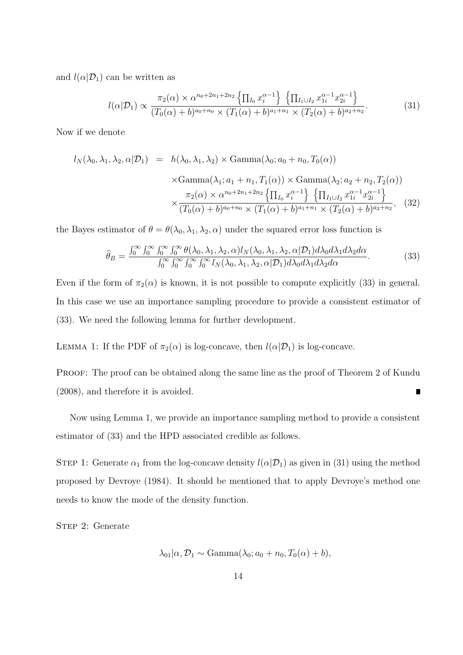and  $l(\alpha|\mathcal{D}_1)$  can be written as

$$
l(\alpha|\mathcal{D}_1) \propto \frac{\pi_2(\alpha) \times \alpha^{n_0 + 2n_1 + 2n_2} \left\{ \prod_{I_0} x_i^{\alpha - 1} \right\} \left\{ \prod_{I_1 \cup I_2} x_{1i}^{\alpha - 1} x_{2i}^{\alpha - 1} \right\}}{(T_0(\alpha) + b)^{a_0 + n_0} \times (T_1(\alpha) + b)^{a_1 + n_1} \times (T_2(\alpha) + b)^{a_2 + n_2}}.
$$
(31)

Now if we denote

$$
l_N(\lambda_0, \lambda_1, \lambda_2, \alpha | \mathcal{D}_1) = h(\lambda_0, \lambda_1, \lambda_2) \times \text{Gamma}(\lambda_0; a_0 + n_0, T_0(\alpha))
$$
  
 
$$
\times \text{Gamma}(\lambda_1; a_1 + n_1, T_1(\alpha)) \times \text{Gamma}(\lambda_2; a_2 + n_2, T_2(\alpha))
$$
  
 
$$
\times \frac{\pi_2(\alpha) \times \alpha^{n_0 + 2n_1 + 2n_2} \{ \prod_{l_0} x_i^{\alpha - 1} \} \{ \prod_{l_1 \cup l_2} x_{1i}^{\alpha - 1} x_{2i}^{\alpha - 1} \}}{(T_0(\alpha) + b)^{a_0 + n_0} \times (T_1(\alpha) + b)^{a_1 + n_1} \times (T_2(\alpha) + b)^{a_2 + n_2}},
$$
 (32)

the Bayes estimator of  $\theta = \theta(\lambda_0, \lambda_1, \lambda_2, \alpha)$  under the squared error loss function is

$$
\widehat{\theta}_B = \frac{\int_0^\infty \int_0^\infty \int_0^\infty \int_0^\infty \theta(\lambda_0, \lambda_1, \lambda_2, \alpha) l_N(\lambda_0, \lambda_1, \lambda_2, \alpha | \mathcal{D}_1) d\lambda_0 d\lambda_1 d\lambda_2 d\alpha}{\int_0^\infty \int_0^\infty \int_0^\infty \int_0^\infty l_N(\lambda_0, \lambda_1, \lambda_2, \alpha | \mathcal{D}_1) d\lambda_0 d\lambda_1 d\lambda_2 d\alpha}.
$$
\n(33)

Even if the form of  $\pi_2(\alpha)$  is known, it is not possible to compute explicitly (33) in general. In this case we use an importance sampling procedure to provide a consistent estimator of (33). We need the following lemma for further development.

LEMMA 1: If the PDF of  $\pi_2(\alpha)$  is log-concave, then  $l(\alpha|\mathcal{D}_1)$  is log-concave.

PROOF: The proof can be obtained along the same line as the proof of Theorem 2 of Kundu (2008), and therefore it is avoided.  $\blacksquare$ 

Now using Lemma 1, we provide an importance sampling method to provide a consistent estimator of (33) and the HPD associated credible as follows.

STEP 1: Generate  $\alpha_1$  from the log-concave density  $l(\alpha|\mathcal{D}_1)$  as given in (31) using the method proposed by Devroye (1984). It should be mentioned that to apply Devroye's method one needs to know the mode of the density function.

STEP 2: Generate

$$
\lambda_{01}|\alpha, \mathcal{D}_1 \sim \text{Gamma}(\lambda_0; a_0 + n_0, T_0(\alpha) + b),
$$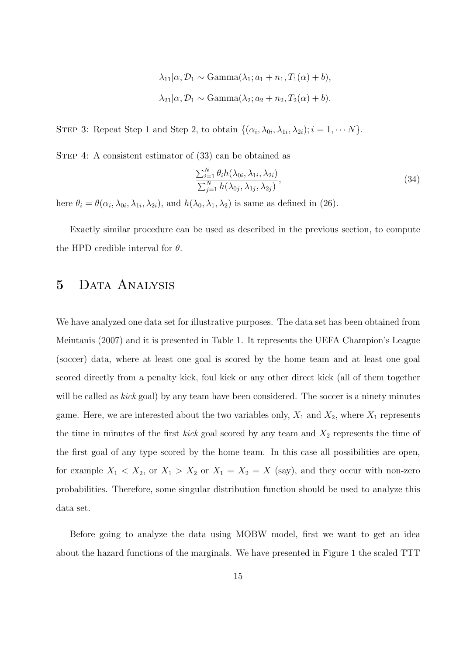$$
\lambda_{11}|\alpha, \mathcal{D}_1 \sim \text{Gamma}(\lambda_1; a_1 + n_1, T_1(\alpha) + b),
$$
  
 $\lambda_{21}|\alpha, \mathcal{D}_1 \sim \text{Gamma}(\lambda_2; a_2 + n_2, T_2(\alpha) + b).$ 

STEP 3: Repeat Step 1 and Step 2, to obtain  $\{(\alpha_i, \lambda_{0i}, \lambda_{1i}, \lambda_{2i}); i = 1, \cdots N\}$ .

STEP 4: A consistent estimator of  $(33)$  can be obtained as

$$
\frac{\sum_{i=1}^{N} \theta_i h(\lambda_{0i}, \lambda_{1i}, \lambda_{2i})}{\sum_{j=1}^{N} h(\lambda_{0j}, \lambda_{1j}, \lambda_{2j})},
$$
\n(34)

here  $\theta_i = \theta(\alpha_i, \lambda_{0i}, \lambda_{1i}, \lambda_{2i})$ , and  $h(\lambda_0, \lambda_1, \lambda_2)$  is same as defined in (26).

Exactly similar procedure can be used as described in the previous section, to compute the HPD credible interval for  $\theta$ .

# 5 DATA ANALYSIS

We have analyzed one data set for illustrative purposes. The data set has been obtained from Meintanis (2007) and it is presented in Table 1. It represents the UEFA Champion's League (soccer) data, where at least one goal is scored by the home team and at least one goal scored directly from a penalty kick, foul kick or any other direct kick (all of them together will be called as *kick* goal) by any team have been considered. The soccer is a ninety minutes game. Here, we are interested about the two variables only,  $X_1$  and  $X_2$ , where  $X_1$  represents the time in minutes of the first *kick* goal scored by any team and  $X_2$  represents the time of the first goal of any type scored by the home team. In this case all possibilities are open, for example  $X_1 < X_2$ , or  $X_1 > X_2$  or  $X_1 = X_2 = X$  (say), and they occur with non-zero probabilities. Therefore, some singular distribution function should be used to analyze this data set.

Before going to analyze the data using MOBW model, first we want to get an idea about the hazard functions of the marginals. We have presented in Figure 1 the scaled TTT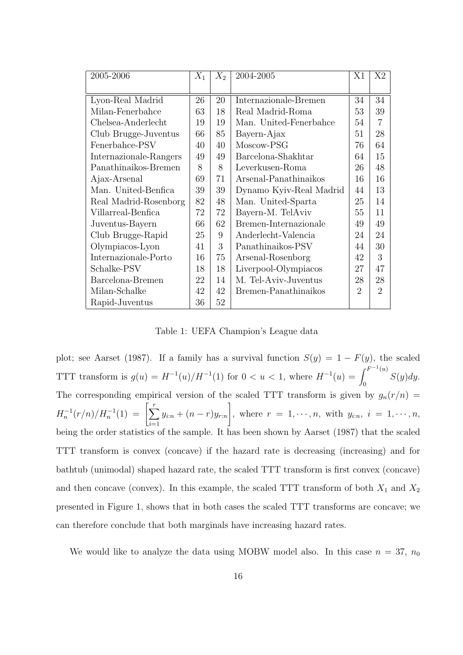| 2005-2006              | $X_1$ | $X_2$ | 2004-2005               | X1                          | X2             |
|------------------------|-------|-------|-------------------------|-----------------------------|----------------|
|                        |       |       |                         |                             |                |
| Lyon-Real Madrid       | 26    | 20    | Internazionale-Bremen   | 34                          | 34             |
| Milan-Fenerbahce       | 63    | 18    | Real Madrid-Roma        | 53                          | 39             |
| Chelsea-Anderlecht     | 19    | 19    | Man. United-Fenerbahce  | 54                          | $\overline{7}$ |
| Club Brugge-Juventus   | 66    | 85    | Bayern-Ajax             | 51                          | 28             |
| Fenerbahce-PSV         | 40    | 40    | Moscow-PSG              | 76                          | 64             |
| Internazionale-Rangers | 49    | 49    | Barcelona-Shakhtar      | 64                          | 15             |
| Panathinaikos-Bremen   | 8     | 8     | Leverkusen-Roma         | 26                          | 48             |
| Ajax-Arsenal           | 69    | 71    | Arsenal-Panathinaikos   | 16                          | 16             |
| Man. United-Benfica    | 39    | 39    | Dynamo Kyiv-Real Madrid | 44                          | 13             |
| Real Madrid-Rosenborg  | 82    | 48    | Man. United-Sparta      | 25                          | 14             |
| Villarreal-Benfica     | 72    | 72    | Bayern-M. TelAviv       | 55                          | 11             |
| Juventus-Bayern        | 66    | 62    | Bremen-Internazionale   | 49                          | 49             |
| Club Brugge-Rapid      | 25    | 9     | Anderlecht-Valencia     | 24                          | 24             |
| Olympiacos-Lyon        | 41    | 3     | Panathinaikos-PSV       | 44                          | 30             |
| Internazionale-Porto   | 16    | 75    | Arsenal-Rosenborg       | 42                          | 3              |
| Schalke-PSV            | 18    | 18    | Liverpool-Olympiacos    | 27                          | 47             |
| Barcelona-Bremen       | 22    | 14    | M. Tel-Aviv-Juventus    | 28                          | 28             |
| Milan-Schalke          | 42    | 42    | Bremen-Panathinaikos    | $\mathcal{D}_{\mathcal{L}}$ | $\overline{2}$ |
| Rapid-Juventus         | 36    | 52    |                         |                             |                |

Table 1: UEFA Champion's League data

plot; see Aarset (1987). If a family has a survival function  $S(y) = 1 - F(y)$ , the scaled TTT transform is  $g(u) = H^{-1}(u)/H^{-1}(1)$  for  $0 < u < 1$ , where  $H^{-1}(u) = \int^{F^{-1}(u)} f(u) du$  $S(y)dy.$ The corresponding empirical version of the scaled TTT transform is given by  $g_n(r/n)$  =  $H_n^{-1}(r/n)/H_n^{-1}(1) = \left[\sum_{n=1}^r$  $i=1$  $y_{i:n} + (n - r)y_{r:n}$ 1 , where  $r = 1, \dots, n$ , with  $y_{i:n}$ ,  $i = 1, \dots, n$ , being the order statistics of the sample. It has been shown by Aarset (1987) that the scaled TTT transform is convex (concave) if the hazard rate is decreasing (increasing) and for bathtub (unimodal) shaped hazard rate, the scaled TTT transform is first convex (concave) and then concave (convex). In this example, the scaled TTT transform of both  $X_1$  and  $X_2$ presented in Figure 1, shows that in both cases the scaled TTT transforms are concave; we can therefore conclude that both marginals have increasing hazard rates.

We would like to analyze the data using MOBW model also. In this case  $n = 37$ ,  $n_0$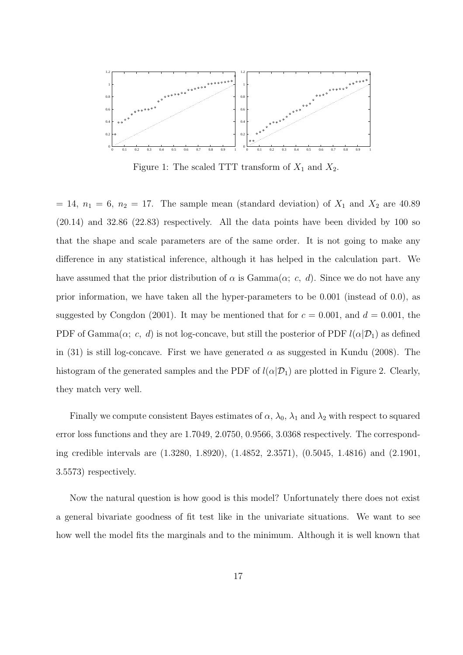

Figure 1: The scaled TTT transform of  $X_1$  and  $X_2$ .

 $= 14$ ,  $n_1 = 6$ ,  $n_2 = 17$ . The sample mean (standard deviation) of  $X_1$  and  $X_2$  are 40.89 (20.14) and 32.86 (22.83) respectively. All the data points have been divided by 100 so that the shape and scale parameters are of the same order. It is not going to make any difference in any statistical inference, although it has helped in the calculation part. We have assumed that the prior distribution of  $\alpha$  is Gamma $(\alpha; c, d)$ . Since we do not have any prior information, we have taken all the hyper-parameters to be 0.001 (instead of 0.0), as suggested by Congdon (2001). It may be mentioned that for  $c = 0.001$ , and  $d = 0.001$ , the PDF of Gamma $(\alpha; c, d)$  is not log-concave, but still the posterior of PDF  $l(\alpha | \mathcal{D}_1)$  as defined in (31) is still log-concave. First we have generated  $\alpha$  as suggested in Kundu (2008). The histogram of the generated samples and the PDF of  $l(\alpha|\mathcal{D}_1)$  are plotted in Figure 2. Clearly, they match very well.

Finally we compute consistent Bayes estimates of  $\alpha$ ,  $\lambda_0$ ,  $\lambda_1$  and  $\lambda_2$  with respect to squared error loss functions and they are 1.7049, 2.0750, 0.9566, 3.0368 respectively. The corresponding credible intervals are (1.3280, 1.8920), (1.4852, 2.3571), (0.5045, 1.4816) and (2.1901, 3.5573) respectively.

Now the natural question is how good is this model? Unfortunately there does not exist a general bivariate goodness of fit test like in the univariate situations. We want to see how well the model fits the marginals and to the minimum. Although it is well known that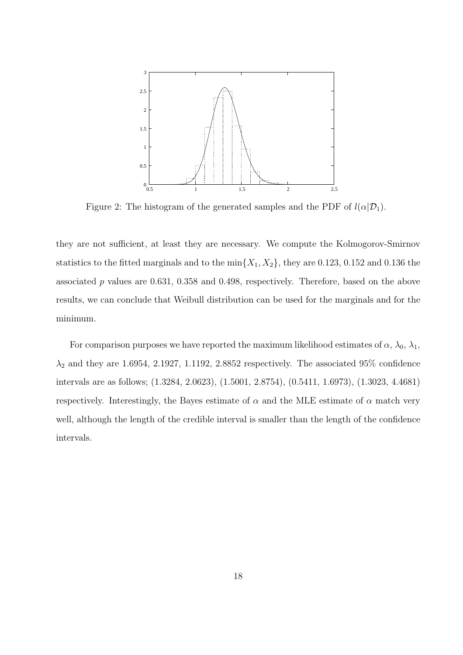

Figure 2: The histogram of the generated samples and the PDF of  $l(\alpha|\mathcal{D}_1)$ .

they are not sufficient, at least they are necessary. We compute the Kolmogorov-Smirnov statistics to the fitted marginals and to the  $\min\{X_1, X_2\}$ , they are 0.123, 0.152 and 0.136 the associated p values are 0.631, 0.358 and 0.498, respectively. Therefore, based on the above results, we can conclude that Weibull distribution can be used for the marginals and for the minimum.

For comparison purposes we have reported the maximum likelihood estimates of  $\alpha$ ,  $\lambda_0$ ,  $\lambda_1$ ,  $\lambda_2$  and they are 1.6954, 2.1927, 1.1192, 2.8852 respectively. The associated 95% confidence intervals are as follows; (1.3284, 2.0623), (1.5001, 2.8754), (0.5411, 1.6973), (1.3023, 4.4681) respectively. Interestingly, the Bayes estimate of  $\alpha$  and the MLE estimate of  $\alpha$  match very well, although the length of the credible interval is smaller than the length of the confidence intervals.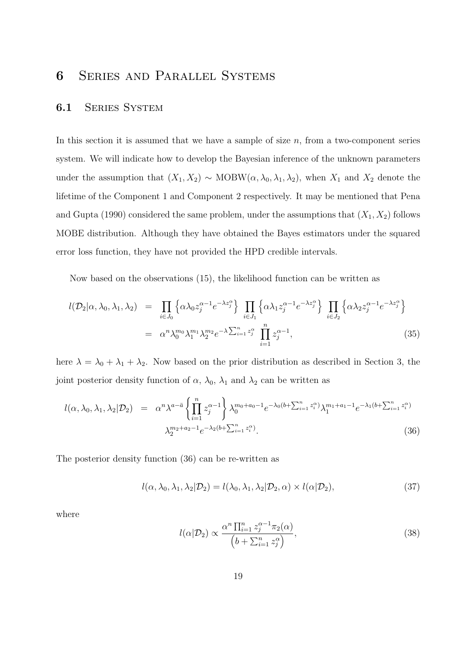# 6 Series and Parallel Systems

#### 6.1 SERIES SYSTEM

In this section it is assumed that we have a sample of size  $n$ , from a two-component series system. We will indicate how to develop the Bayesian inference of the unknown parameters under the assumption that  $(X_1, X_2) \sim \text{MOBW}(\alpha, \lambda_0, \lambda_1, \lambda_2)$ , when  $X_1$  and  $X_2$  denote the lifetime of the Component 1 and Component 2 respectively. It may be mentioned that Pena and Gupta (1990) considered the same problem, under the assumptions that  $(X_1, X_2)$  follows MOBE distribution. Although they have obtained the Bayes estimators under the squared error loss function, they have not provided the HPD credible intervals.

Now based on the observations (15), the likelihood function can be written as

$$
l(\mathcal{D}_2|\alpha,\lambda_0,\lambda_1,\lambda_2) = \prod_{i\in J_0} \left\{ \alpha \lambda_0 z_j^{\alpha-1} e^{-\lambda z_j^{\alpha}} \right\} \prod_{i\in J_1} \left\{ \alpha \lambda_1 z_j^{\alpha-1} e^{-\lambda z_j^{\alpha}} \right\} \prod_{i\in J_2} \left\{ \alpha \lambda_2 z_j^{\alpha-1} e^{-\lambda z_j^{\alpha}} \right\}
$$
  

$$
= \alpha^n \lambda_0^{m_0} \lambda_1^{m_1} \lambda_2^{m_2} e^{-\lambda \sum_{i=1}^n z_j^{\alpha}} \prod_{i=1}^n z_j^{\alpha-1}, \tag{35}
$$

here  $\lambda = \lambda_0 + \lambda_1 + \lambda_2$ . Now based on the prior distribution as described in Section 3, the joint posterior density function of  $\alpha$ ,  $\lambda_0$ ,  $\lambda_1$  and  $\lambda_2$  can be written as

$$
l(\alpha, \lambda_0, \lambda_1, \lambda_2 | \mathcal{D}_2) = \alpha^n \lambda^{a - \bar{a}} \left\{ \prod_{i=1}^n z_j^{\alpha - 1} \right\} \lambda_0^{m_0 + a_0 - 1} e^{-\lambda_0 (b + \sum_{i=1}^n z_i^{\alpha})} \lambda_1^{m_1 + a_1 - 1} e^{-\lambda_1 (b + \sum_{i=1}^n z_i^{\alpha})}
$$
  

$$
\lambda_2^{m_2 + a_2 - 1} e^{-\lambda_2 (b + \sum_{i=1}^n z_i^{\alpha})}.
$$
 (36)

The posterior density function (36) can be re-written as

$$
l(\alpha, \lambda_0, \lambda_1, \lambda_2 | \mathcal{D}_2) = l(\lambda_0, \lambda_1, \lambda_2 | \mathcal{D}_2, \alpha) \times l(\alpha | \mathcal{D}_2),
$$
\n(37)

where

$$
l(\alpha|\mathcal{D}_2) \propto \frac{\alpha^n \prod_{i=1}^n z_j^{\alpha-1} \pi_2(\alpha)}{\left(b + \sum_{i=1}^n z_j^{\alpha}\right)},
$$
\n(38)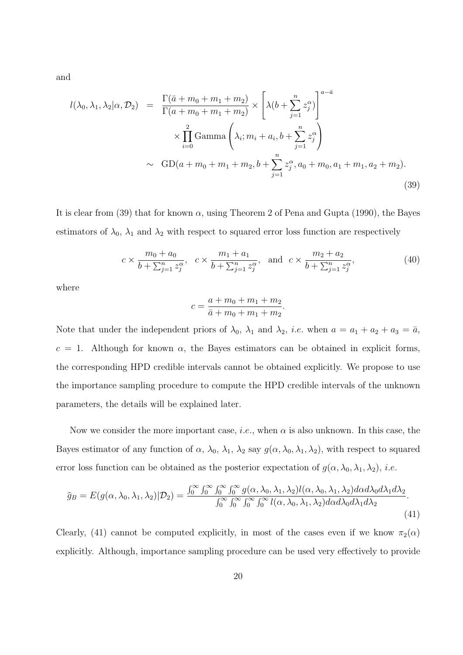and

$$
l(\lambda_0, \lambda_1, \lambda_2 | \alpha, \mathcal{D}_2) = \frac{\Gamma(\bar{a} + m_0 + m_1 + m_2)}{\Gamma(a + m_0 + m_1 + m_2)} \times \left[ \lambda (b + \sum_{j=1}^n z_j^{\alpha}) \right]^{a - \bar{a}} \times \prod_{i=0}^2 \text{Gamma} \left( \lambda_i; m_i + a_i, b + \sum_{j=1}^n z_j^{\alpha} \right) \times \text{GD}(a + m_0 + m_1 + m_2, b + \sum_{j=1}^n z_j^{\alpha}, a_0 + m_0, a_1 + m_1, a_2 + m_2).
$$
\n(39)

It is clear from (39) that for known  $\alpha$ , using Theorem 2 of Pena and Gupta (1990), the Bayes estimators of  $\lambda_0$ ,  $\lambda_1$  and  $\lambda_2$  with respect to squared error loss function are respectively

$$
c \times \frac{m_0 + a_0}{b + \sum_{j=1}^n z_j^{\alpha}}, \quad c \times \frac{m_1 + a_1}{b + \sum_{j=1}^n z_j^{\alpha}}, \quad \text{and} \quad c \times \frac{m_2 + a_2}{b + \sum_{j=1}^n z_j^{\alpha}}, \tag{40}
$$

where

$$
c = \frac{a + m_0 + m_1 + m_2}{\bar{a} + m_0 + m_1 + m_2}.
$$

Note that under the independent priors of  $\lambda_0$ ,  $\lambda_1$  and  $\lambda_2$ , *i.e.* when  $a = a_1 + a_2 + a_3 = \overline{a}$ ,  $c = 1$ . Although for known  $\alpha$ , the Bayes estimators can be obtained in explicit forms, the corresponding HPD credible intervals cannot be obtained explicitly. We propose to use the importance sampling procedure to compute the HPD credible intervals of the unknown parameters, the details will be explained later.

Now we consider the more important case, *i.e.*, when  $\alpha$  is also unknown. In this case, the Bayes estimator of any function of  $\alpha$ ,  $\lambda_0$ ,  $\lambda_1$ ,  $\lambda_2$  say  $g(\alpha, \lambda_0, \lambda_1, \lambda_2)$ , with respect to squared error loss function can be obtained as the posterior expectation of  $g(\alpha, \lambda_0, \lambda_1, \lambda_2)$ , *i.e.* 

$$
\widehat{g}_B = E(g(\alpha, \lambda_0, \lambda_1, \lambda_2)|\mathcal{D}_2) = \frac{\int_0^\infty \int_0^\infty \int_0^\infty \int_0^\infty g(\alpha, \lambda_0, \lambda_1, \lambda_2) l(\alpha, \lambda_0, \lambda_1, \lambda_2) d\alpha d\lambda_0 d\lambda_1 d\lambda_2}{\int_0^\infty \int_0^\infty \int_0^\infty \int_0^\infty l(\alpha, \lambda_0, \lambda_1, \lambda_2) d\alpha d\lambda_0 d\lambda_1 d\lambda_2}.
$$
\n(41)

Clearly, (41) cannot be computed explicitly, in most of the cases even if we know  $\pi_2(\alpha)$ explicitly. Although, importance sampling procedure can be used very effectively to provide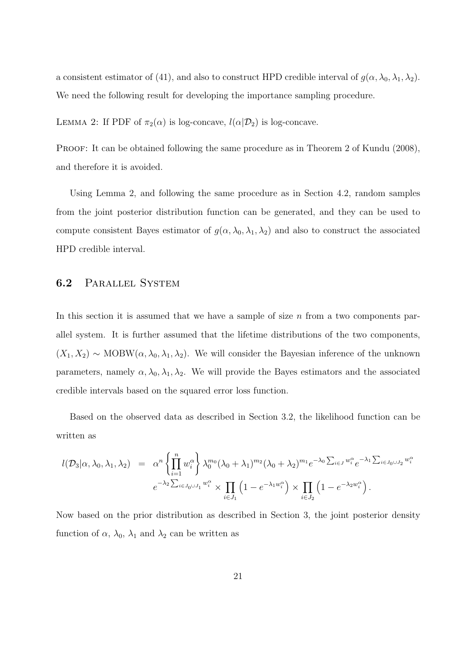a consistent estimator of (41), and also to construct HPD credible interval of  $g(\alpha, \lambda_0, \lambda_1, \lambda_2)$ . We need the following result for developing the importance sampling procedure.

LEMMA 2: If PDF of  $\pi_2(\alpha)$  is log-concave,  $l(\alpha|\mathcal{D}_2)$  is log-concave.

PROOF: It can be obtained following the same procedure as in Theorem 2 of Kundu (2008), and therefore it is avoided.

Using Lemma 2, and following the same procedure as in Section 4.2, random samples from the joint posterior distribution function can be generated, and they can be used to compute consistent Bayes estimator of  $g(\alpha, \lambda_0, \lambda_1, \lambda_2)$  and also to construct the associated HPD credible interval.

### 6.2 Parallel System

In this section it is assumed that we have a sample of size  $n$  from a two components parallel system. It is further assumed that the lifetime distributions of the two components,  $(X_1, X_2) \sim \text{MOBW}(\alpha, \lambda_0, \lambda_1, \lambda_2)$ . We will consider the Bayesian inference of the unknown parameters, namely  $\alpha, \lambda_0, \lambda_1, \lambda_2$ . We will provide the Bayes estimators and the associated credible intervals based on the squared error loss function.

Based on the observed data as described in Section 3.2, the likelihood function can be written as

$$
l(\mathcal{D}_3|\alpha,\lambda_0,\lambda_1,\lambda_2) = \alpha^n \left\{ \prod_{i=1}^n w_i^{\alpha} \right\} \lambda_0^{m_0} (\lambda_0 + \lambda_1)^{m_2} (\lambda_0 + \lambda_2)^{m_1} e^{-\lambda_0 \sum_{i \in J} w_i^{\alpha}} e^{-\lambda_1 \sum_{i \in J_0 \cup J_2} w_i^{\alpha}}
$$

$$
e^{-\lambda_2 \sum_{i \in J_0 \cup J_1} w_i^{\alpha}} \times \prod_{i \in J_1} \left( 1 - e^{-\lambda_1 w_i^{\alpha}} \right) \times \prod_{i \in J_2} \left( 1 - e^{-\lambda_2 w_i^{\alpha}} \right).
$$

Now based on the prior distribution as described in Section 3, the joint posterior density function of  $\alpha$ ,  $\lambda_0$ ,  $\lambda_1$  and  $\lambda_2$  can be written as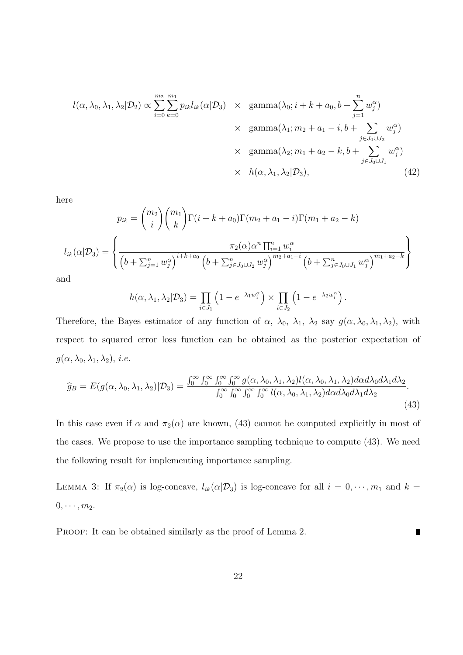$$
l(\alpha, \lambda_0, \lambda_1, \lambda_2 | \mathcal{D}_2) \propto \sum_{i=0}^{m_2} \sum_{k=0}^{m_1} p_{ik} l_{ik}(\alpha | \mathcal{D}_3) \times \text{ gamma}(\lambda_0; i + k + a_0, b + \sum_{j=1}^n w_j^{\alpha})
$$
  
 
$$
\times \text{ gamma}(\lambda_1; m_2 + a_1 - i, b + \sum_{j \in J_0 \cup J_2} w_j^{\alpha})
$$
  
 
$$
\times \text{ gamma}(\lambda_2; m_1 + a_2 - k, b + \sum_{j \in J_0 \cup J_1} w_j^{\alpha})
$$
  
 
$$
\times h(\alpha, \lambda_1, \lambda_2 | \mathcal{D}_3), \qquad (42)
$$

here

$$
p_{ik} = {m_2 \choose i} {m_1 \choose k} \Gamma(i+k+a_0) \Gamma(m_2 + a_1 - i) \Gamma(m_1 + a_2 - k)
$$

$$
l_{ik}(\alpha | \mathcal{D}_3) = \left\{ \frac{\pi_2(\alpha) \alpha^n \prod_{i=1}^n w_i^{\alpha}}{\left(b + \sum_{j=1}^n w_j^{\alpha}\right)^{i+k+a_0} \left(b + \sum_{j \in J_0 \cup J_2}^n w_j^{\alpha}\right)^{m_2 + a_1 - i} \left(b + \sum_{j \in J_0 \cup J_1}^n w_j^{\alpha}\right)^{m_1 + a_2 - k}}\right\}
$$
nd

an

$$
h(\alpha,\lambda_1,\lambda_2|\mathcal{D}_3) = \prod_{i\in J_1} \left(1 - e^{-\lambda_1 w_i^{\alpha}}\right) \times \prod_{i\in J_2} \left(1 - e^{-\lambda_2 w_i^{\alpha}}\right).
$$

Therefore, the Bayes estimator of any function of  $\alpha$ ,  $\lambda_0$ ,  $\lambda_1$ ,  $\lambda_2$  say  $g(\alpha, \lambda_0, \lambda_1, \lambda_2)$ , with respect to squared error loss function can be obtained as the posterior expectation of  $g(\alpha, \lambda_0, \lambda_1, \lambda_2), i.e.$ 

$$
\widehat{g}_B = E(g(\alpha, \lambda_0, \lambda_1, \lambda_2)|\mathcal{D}_3) = \frac{\int_0^\infty \int_0^\infty \int_0^\infty \int_0^\infty g(\alpha, \lambda_0, \lambda_1, \lambda_2) l(\alpha, \lambda_0, \lambda_1, \lambda_2) d\alpha d\lambda_0 d\lambda_1 d\lambda_2}{\int_0^\infty \int_0^\infty \int_0^\infty \int_0^\infty l(\alpha, \lambda_0, \lambda_1, \lambda_2) d\alpha d\lambda_0 d\lambda_1 d\lambda_2}.
$$
\n(43)

In this case even if  $\alpha$  and  $\pi_2(\alpha)$  are known, (43) cannot be computed explicitly in most of the cases. We propose to use the importance sampling technique to compute (43). We need the following result for implementing importance sampling.

LEMMA 3: If  $\pi_2(\alpha)$  is log-concave,  $l_{ik}(\alpha|\mathcal{D}_3)$  is log-concave for all  $i = 0, \dots, m_1$  and  $k =$  $0, \cdots, m_2.$ 

 $\blacksquare$ 

PROOF: It can be obtained similarly as the proof of Lemma 2.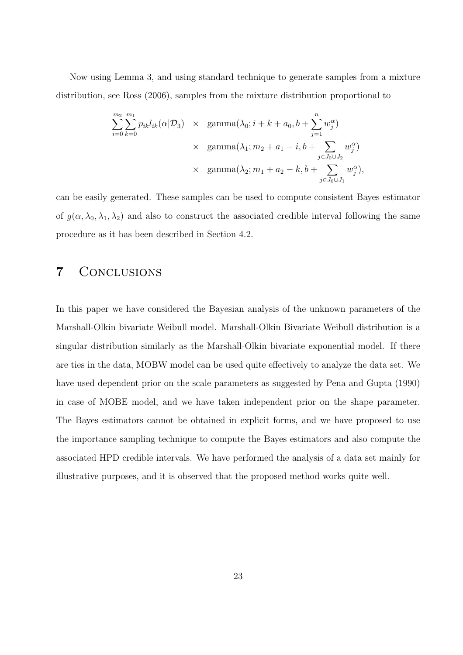Now using Lemma 3, and using standard technique to generate samples from a mixture distribution, see Ross (2006), samples from the mixture distribution proportional to

$$
\sum_{i=0}^{m_2} \sum_{k=0}^{m_1} p_{ik} l_{ik}(\alpha | \mathcal{D}_3) \times \text{ gamma}(\lambda_0; i + k + a_0, b + \sum_{j=1}^{n} w_j^{\alpha})
$$
  
 
$$
\times \text{ gamma}(\lambda_1; m_2 + a_1 - i, b + \sum_{j \in J_0 \cup J_2} w_j^{\alpha})
$$
  
 
$$
\times \text{ gamma}(\lambda_2; m_1 + a_2 - k, b + \sum_{j \in J_0 \cup J_1} w_j^{\alpha}),
$$

can be easily generated. These samples can be used to compute consistent Bayes estimator of  $g(\alpha, \lambda_0, \lambda_1, \lambda_2)$  and also to construct the associated credible interval following the same procedure as it has been described in Section 4.2.

# 7 Conclusions

In this paper we have considered the Bayesian analysis of the unknown parameters of the Marshall-Olkin bivariate Weibull model. Marshall-Olkin Bivariate Weibull distribution is a singular distribution similarly as the Marshall-Olkin bivariate exponential model. If there are ties in the data, MOBW model can be used quite effectively to analyze the data set. We have used dependent prior on the scale parameters as suggested by Pena and Gupta (1990) in case of MOBE model, and we have taken independent prior on the shape parameter. The Bayes estimators cannot be obtained in explicit forms, and we have proposed to use the importance sampling technique to compute the Bayes estimators and also compute the associated HPD credible intervals. We have performed the analysis of a data set mainly for illustrative purposes, and it is observed that the proposed method works quite well.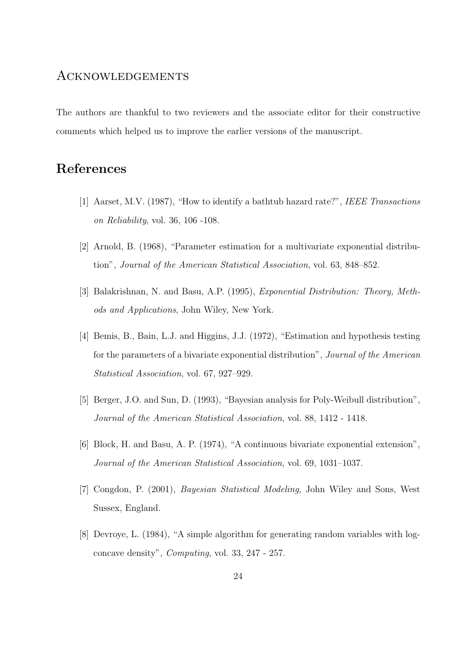### Acknowledgements

The authors are thankful to two reviewers and the associate editor for their constructive comments which helped us to improve the earlier versions of the manuscript.

# References

- [1] Aarset, M.V. (1987), "How to identify a bathtub hazard rate?", IEEE Transactions on Reliability, vol. 36, 106 -108.
- [2] Arnold, B. (1968), "Parameter estimation for a multivariate exponential distribution", Journal of the American Statistical Association, vol. 63, 848–852.
- [3] Balakrishnan, N. and Basu, A.P. (1995), Exponential Distribution: Theory, Methods and Applications, John Wiley, New York.
- [4] Bemis, B., Bain, L.J. and Higgins, J.J. (1972), "Estimation and hypothesis testing for the parameters of a bivariate exponential distribution", Journal of the American Statistical Association, vol. 67, 927–929.
- [5] Berger, J.O. and Sun, D. (1993), "Bayesian analysis for Poly-Weibull distribution", Journal of the American Statistical Association, vol. 88, 1412 - 1418.
- [6] Block, H. and Basu, A. P. (1974), "A continuous bivariate exponential extension", Journal of the American Statistical Association, vol. 69, 1031–1037.
- [7] Congdon, P. (2001), Bayesian Statistical Modeling, John Wiley and Sons, West Sussex, England.
- [8] Devroye, L. (1984), "A simple algorithm for generating random variables with logconcave density", Computing, vol. 33, 247 - 257.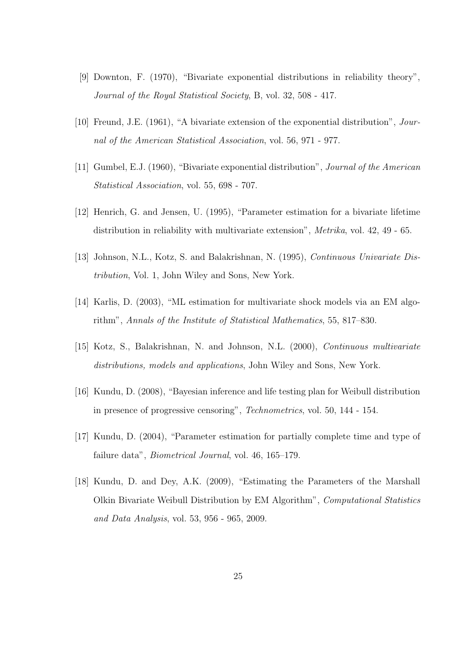- [9] Downton, F. (1970), "Bivariate exponential distributions in reliability theory", Journal of the Royal Statistical Society, B, vol. 32, 508 - 417.
- [10] Freund, J.E. (1961), "A bivariate extension of the exponential distribution", Journal of the American Statistical Association, vol. 56, 971 - 977.
- [11] Gumbel, E.J. (1960), "Bivariate exponential distribution", Journal of the American Statistical Association, vol. 55, 698 - 707.
- [12] Henrich, G. and Jensen, U. (1995), "Parameter estimation for a bivariate lifetime distribution in reliability with multivariate extension", Metrika, vol. 42, 49 - 65.
- [13] Johnson, N.L., Kotz, S. and Balakrishnan, N. (1995), Continuous Univariate Distribution, Vol. 1, John Wiley and Sons, New York.
- [14] Karlis, D. (2003), "ML estimation for multivariate shock models via an EM algorithm", Annals of the Institute of Statistical Mathematics, 55, 817–830.
- [15] Kotz, S., Balakrishnan, N. and Johnson, N.L. (2000), Continuous multivariate distributions, models and applications, John Wiley and Sons, New York.
- [16] Kundu, D. (2008), "Bayesian inference and life testing plan for Weibull distribution in presence of progressive censoring", Technometrics, vol. 50, 144 - 154.
- [17] Kundu, D. (2004), "Parameter estimation for partially complete time and type of failure data", Biometrical Journal, vol. 46, 165–179.
- [18] Kundu, D. and Dey, A.K. (2009), "Estimating the Parameters of the Marshall Olkin Bivariate Weibull Distribution by EM Algorithm", Computational Statistics and Data Analysis, vol. 53, 956 - 965, 2009.